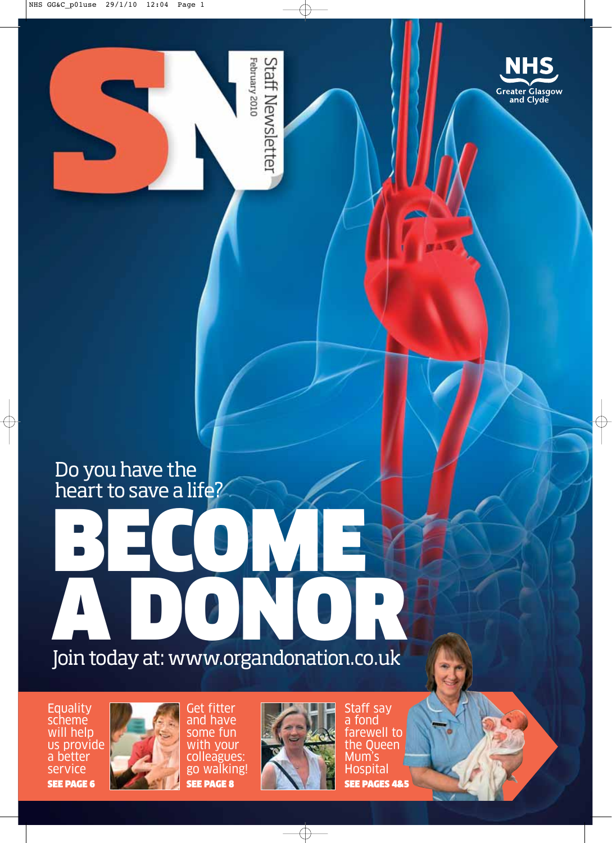

February 2010 **Staff Newsletter** 

## Do you have the heart to save a life?

# BECOME A DONOR

Join today at: www.organdonation.co.uk

**Equality** scheme will help us provide a better service SEE PAGE 6



Get fitter and have some fun with your colleagues: go walking! SEE PAGE 8



Staff say a fond farewell to the Queen Mum's Hospital SEE PAGES 4&5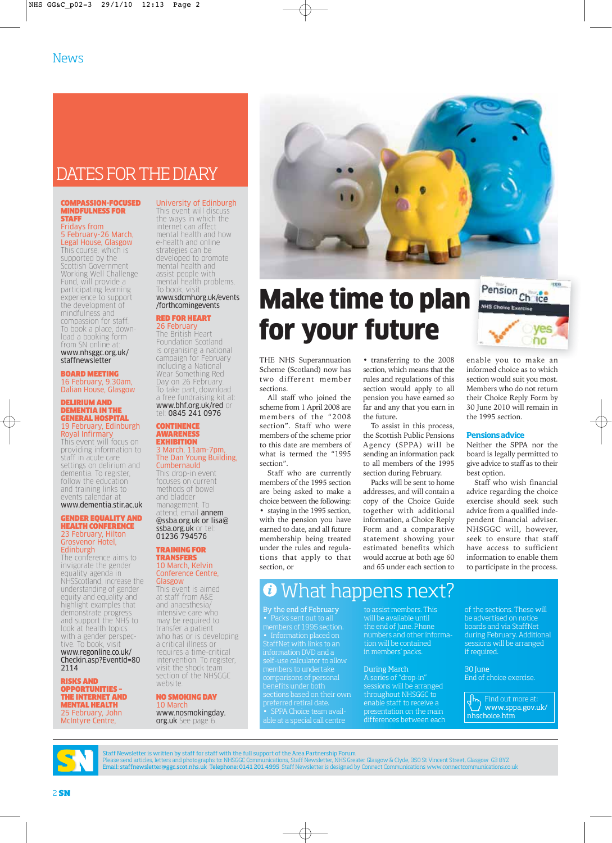### DATES FOR THE DIARY

### COMPASSION-FOCUSED MINDFULNESS FOR STAFF

#### Fridays from 5 February-26 March, Legal House, Glasgow

This course, which is supported by the Scottish Government Working Well Challenge Fund, will provide a participating learning experience to support the development of mindfulness and compassion for staff. To book a place, download a booking form from SN online at: www.nhsggc.org.uk/

### staffnewsletter BOARD MEETING

16 February, 9.30am, Dalian House, Glasgow

### DELIRIUM AND DEMENTIA IN THE GENERAL HOSPITAL 19 February, Edinburgh Royal Infirmary

This event will focus on providing information to staff in acute care settings on delirium and dementia. To register, follow the education and training links to events calendar at www.dementia.stir.ac.uk

#### GENDER EQUALITY AND HEALTH CONFERENCE 23 February, Hilton Grosvenor Hotel, Edinburgh

The conference aims to invigorate the gender equality agenda in NHSScotland, increase the understanding of gender equity and equality and highlight examples that demonstrate progress and support the NHS to look at health topics with a gender perspective. To book, visit www.regonline.co.uk/ Checkin.asp?EventId=80 2114

RISKS AND OPPORTUNITIES – THE INTERNET AND MENTAL HEALTH 25 February, John McIntyre Centre,

University of Edinburgh This event will discuss the ways in which the internet can affect mental health and how e-health and online strategies can be developed to promote mental health and assist people with mental health problems.

### To book, visit www.sdcmh.org.uk/events /forthcomingevents

### RED FOR HEART 26 Februar

The British Heart Foundation Scotland is organising a national campaign for February including a National Wear Something Red Day on 26 February. To take part, download a free fundraising kit at: www.bhf.org.uk/red or tel: 0845 241 0976

### **CONTINENCE** AWARENESS **EXHIBITION** 3 March, 11am-7pm, The Dan Young Building,

Cumbernauld This drop-in event focuses on current methods of bowel and bladder management. To attend, email **annem** @ssba.org.uk or lisa@ ssba.org.uk or tel: 01236 794576

### TRAINING FOR **TRANSFERS** 10 March, Kelvin

Conference Centre, **Glasgow** This event is aimed at staff from A&E and anaesthesia/ intensive care who may be required to transfer a patient who has or is developing a critical illness or requires a time-critical intervention. To register, visit the shock team section of the NHSGGC

### NO SMOKING DAY Marc www.nosmokingday.

website

org.uk See page



## Make time to plan for your future

THE NHS Superannuation Scheme (Scotland) now has two different member sections.

All staff who joined the scheme from 1 April 2008 are members of the "2008 section". Staff who were members of the scheme prior to this date are members of what is termed the "1995 section".

Staff who are currently members of the 1995 section are being asked to make a choice between the following:

staying in the 1995 section, with the pension you have earned to date, and all future membership being treated under the rules and regulations that apply to that section, or

• transferring to the 2008 section, which means that the rules and regulations of this section would apply to all pension you have earned so far and any that you earn in the future.

To assist in this process, the Scottish Public Pensions Agency (SPPA) will be sending an information pack to all members of the 1995 section during February.

Packs will be sent to home addresses, and will contain a copy of the Choice Guide together with additional information, a Choice Reply Form and a comparative statement showing your estimated benefits which would accrue at both age 60 and 65 under each section to enable you to make an informed choice as to which section would suit you most. Members who do not return their Choice Reply Form by 30 June 2010 will remain in the 1995 section.

no

### **Pensions advice**

Neither the SPPA nor the board is legally permitted to give advice to staff as to their best option.

Staff who wish financial advice regarding the choice exercise should seek such advice from a qualified independent financial adviser. NHSGGC will, however, seek to ensure that staff have access to sufficient information to enable them to participate in the process.

### What happens next?  $\boldsymbol{\theta}$

By the end of February information DVD and a self-use calculator to allow comparisons of personal preferred retiral date. • SPPA Choice team available at a special call centre

will be available until the end of June. Phone numbers and other information will be contained in members' packs.

### During March

A series of "drop-in" sessions will be arranged throughout NHSGGC to enable staff to receive a presentation on the main differences between each of the sections. These will be advertised on notice boards and via StaffNet during February. Additional sessions will be arranged if required.

30 June End of choice exercise.

 $\frac{1}{\sqrt{2}}$  Find out more at: www.sppa.gov.uk/ nhschoice.htm



Staff Newsletter is written by staff for staff with the full support of the Area Partnership Forum Please send articles, letters and photographs to: NHSGGC Communications, Staff Newsletter, NHS Greater Glasgow & Clyde, 350 St Vincent Street, Glasgow G3 8YZ<br>**Email: staffnewsletter@ggc.scot.nhs.uk Telephone: 0141 201 4995**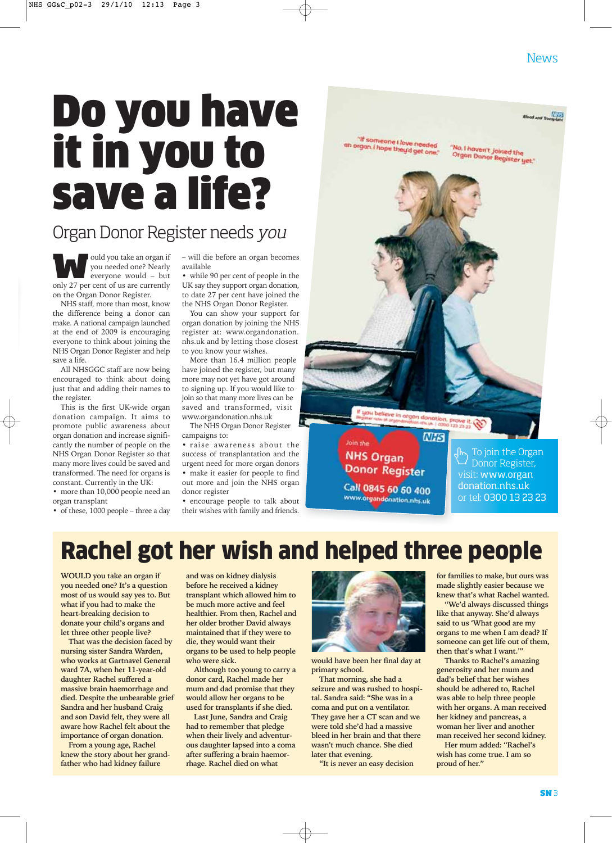### **News**

**Blood and Transplant** 

"No, I haven't joined the<br>Organ Donor Register yet."

## Do you have it in you to save a life?

### Organ Donor Register needs you

**WAOU SOLUTE 1999 WAND SOLUTE:**<br>
We interest of us are currently<br>
Not be a set of us are currently you needed one? Nearly everyone would – but only 27 per cent of us are currently on the Organ Donor Register.

NHS staff, more than most, know the difference being a donor can make. A national campaign launched at the end of 2009 is encouraging everyone to think about joining the NHS Organ Donor Register and help save a life.

All NHSGGC staff are now being encouraged to think about doing just that and adding their names to the register.

This is the first UK-wide organ donation campaign. It aims to promote public awareness about organ donation and increase significantly the number of people on the NHS Organ Donor Register so that many more lives could be saved and transformed. The need for organs is constant. Currently in the UK:

• more than 10,000 people need an organ transplant

• of these, 1000 people – three a day

– will die before an organ becomes available

• while 90 per cent of people in the UK say they support organ donation, to date 27 per cent have joined the the NHS Organ Donor Register.

You can show your support for organ donation by joining the NHS register at: www.organdonation. nhs.uk and by letting those closest to you know your wishes.

More than 16.4 million people have joined the register, but many more may not yet have got around to signing up. If you would like to join so that many more lives can be saved and transformed, visit www.organdonation.nhs.uk

The NHS Organ Donor Register campaigns to:

• raise awareness about the success of transplantation and the urgent need for more organ donors • make it easier for people to find out more and join the NHS organ donor register

• encourage people to talk about their wishes with family and friends.



"If someone I love needed<br>rgan, I hope the organ, I hope they'd get one.

> To join the Organ Donor Register, visit: www.organ donation.nhs.uk or tel: 0300 13 23 23

## Rachel got her wish and helped three people

**WOULD you take an organ if you needed one? It's a question most of us would say yes to. But what if you had to make the heart-breaking decision to donate your child's organs and let three other people live?**

**That was the decision faced by nursing sister Sandra Warden, who works at Gartnavel General ward 7A, when her 11-year-old daughter Rachel suffered a massive brain haemorrhage and died. Despite the unbearable grief Sandra and her husband Craig and son David felt, they were all aware how Rachel felt about the importance of organ donation.**

**From a young age, Rachel knew the story about her grandfather who had kidney failure**

**and was on kidney dialysis before he received a kidney transplant which allowed him to be much more active and feel healthier. From then, Rachel and her older brother David always maintained that if they were to die, they would want their organs to be used to help people who were sick.** 

**Although too young to carry a donor card, Rachel made her mum and dad promise that they would allow her organs to be used for transplants if she died.**

**Last June, Sandra and Craig had to remember that pledge when their lively and adventurous daughter lapsed into a coma after suffering a brain haemorrhage. Rachel died on what**



**would have been her final day at primary school.**

**That morning, she had a seizure and was rushed to hospital. Sandra said: "She was in a coma and put on a ventilator. They gave her a CT scan and we were told she'd had a massive bleed in her brain and that there wasn't much chance. She died later that evening.**

**"It is never an easy decision**

**for families to make, but ours was made slightly easier because we knew that's what Rachel wanted.**

**"We'd always discussed things like that anyway. She'd always said to us 'What good are my organs to me when I am dead? If someone can get life out of them, then that's what I want.'"**

**Thanks to Rachel's amazing generosity and her mum and dad's belief that her wishes should be adhered to, Rachel was able to help three people with her organs. A man received her kidney and pancreas, a woman her liver and another man received her second kidney.**

**Her mum added: "Rachel's wish has come true. I am so proud of her."**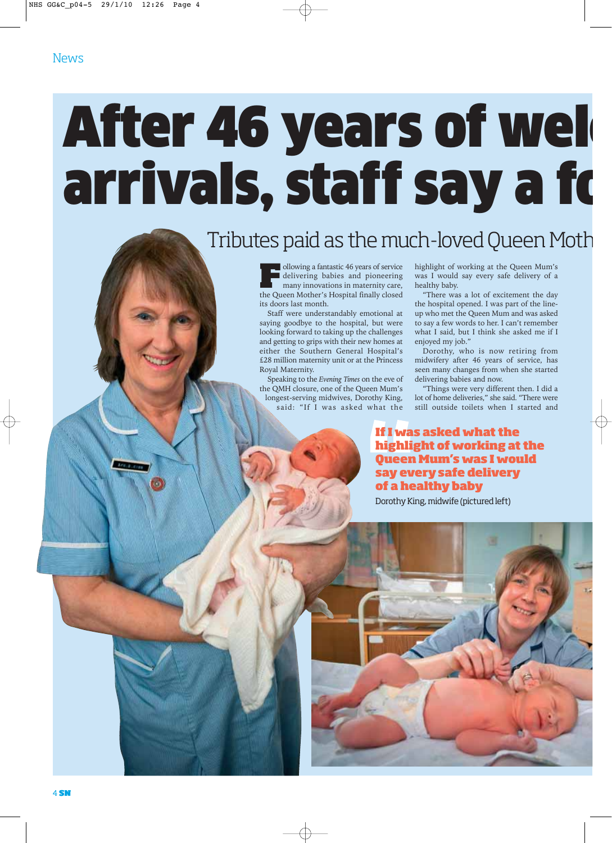## After 46 years of wel arrivals, staff say a fo

## Tributes paid as the much-loved Queen Mot

**Following a fantastic 46 years of service** delivering babies and pioneering many innovations in maternity care, the Queen Mother's Hospital finally closed its doors last month.

Staff were understandably emotional at saying goodbye to the hospital, but were looking forward to taking up the challenges and getting to grips with their new homes at either the Southern General Hospital's £28 million maternity unit or at the Princess Royal Maternity.

Speaking to the *Evening Times* on the eve of the QMH closure, one of the Queen Mum's longest-serving midwives, Dorothy King, said: "If I was asked what the highlight of working at the Queen Mum's was I would say every safe delivery of a healthy baby.

"There was a lot of excitement the day the hospital opened. I was part of the lineup who met the Queen Mum and was asked to say a few words to her. I can't remember what I said, but I think she asked me if I enjoyed my job."

Dorothy, who is now retiring from midwifery after 46 years of service, has seen many changes from when she started delivering babies and now.

"Things were very different then. I did a lot of home deliveries," she said. "There were still outside toilets when I started and

### **If I was asked what the highlight of working at the Queen Mum's was I would say every safe delivery of a healthy baby**

Dorothy King, midwife (pictured left)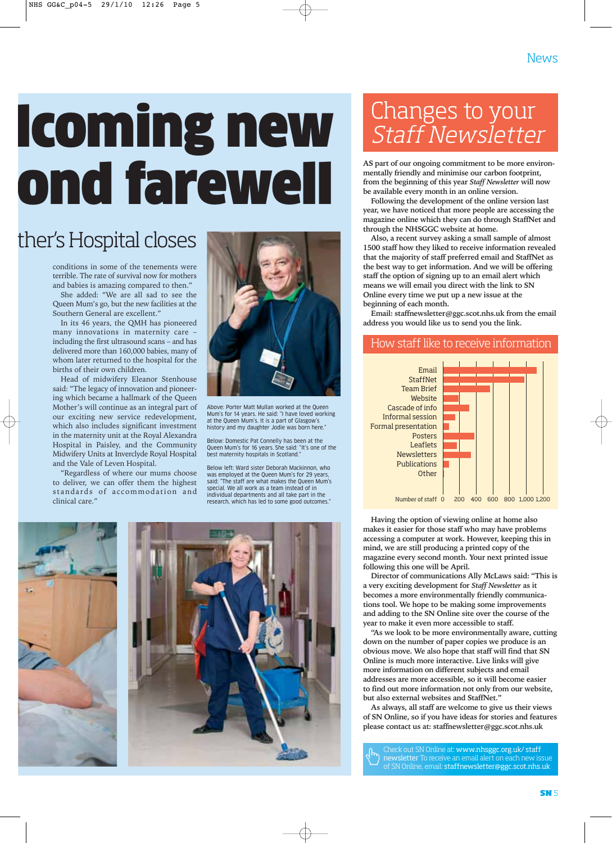## lcoming new fond farewell

## ther's Hospital closes

conditions in some of the tenements were terrible. The rate of survival now for mothers and babies is amazing compared to then."

She added: "We are all sad to see the Queen Mum's go, but the new facilities at the Southern General are excellent."

In its 46 years, the QMH has pioneered many innovations in maternity care – including the first ultrasound scans – and has delivered more than 160,000 babies, many of whom later returned to the hospital for the births of their own children.

Head of midwifery Eleanor Stenhouse said: "The legacy of innovation and pioneering which became a hallmark of the Queen Mother's will continue as an integral part of our exciting new service redevelopment, which also includes significant investment in the maternity unit at the Royal Alexandra Hospital in Paisley, and the Community Midwifery Units at Inverclyde Royal Hospital and the Vale of Leven Hospital.

"Regardless of where our mums choose to deliver, we can offer them the highest standards of accommodation and clinical care."



Above: Porter Matt Mullan worked at the Queen Mum's for 14 years. He said: "I have loved working at the Queen Mum's. It is a part of Glasgow's history and my daughter Jodie was born here."

Below: Domestic Pat Connelly has been at the Queen Mum's for 16 years. She said: "It's one of the best maternity hospitals in Scotland."

Below left: Ward sister Deborah Mackinnon, who was employed at the Queen Mum's for 29 years, said: "The staff are what makes the Queen Mum's special. We all work as a team instead of in individual departments and all take part in the research, which has led to some good outcomes."



## Changes to your Staff Newsletter

**AS part of our ongoing commitment to be more environmentally friendly and minimise our carbon footprint, from the beginning of this year** *Staff Newsletter* **will now be available every month in an online version.** 

**Following the development of the online version last year, we have noticed that more people are accessing the magazine online which they can do through StaffNet and through the NHSGGC website at home.**

**Also, a recent survey asking a small sample of almost 1500 staff how they liked to receive information revealed that the majority of staff preferred email and StaffNet as the best way to get information. And we will be offering staff the option of signing up to an email alert which means we will email you direct with the link to SN Online every time we put up a new issue at the beginning of each month.** 

**Email: staffnewsletter@ggc.scot.nhs.uk from the email address you would like us to send you the link.**

### How staff like to receive information



**Having the option of viewing online at home also makes it easier for those staff who may have problems accessing a computer at work. However, keeping this in mind, we are still producing a printed copy of the magazine every second month. Your next printed issue following this one will be April.** 

**Director of communications Ally McLaws said: "This is a very exciting development for** *Staff Newsletter* **as it becomes a more environmentally friendly communications tool. We hope to be making some improvements and adding to the SN Online site over the course of the year to make it even more accessible to staff.**

**"As we look to be more environmentally aware, cutting down on the number of paper copies we produce is an obvious move. We also hope that staff will find that SN Online is much more interactive. Live links will give more information on different subjects and email addresses are more accessible, so it will become easier to find out more information not only from our website, but also external websites and StaffNet."**

**As always, all staff are welcome to give us their views of SN Online, so if you have ideas for stories and features please contact us at: staffnewsletter@ggc.scot.nhs.uk**

Check out SN Online at: www.nhsggc.org.uk/ staff newsletter To receive an email alert on each new issue of SN Online, email: staffnewsletter@ggc.scot.nhs.uk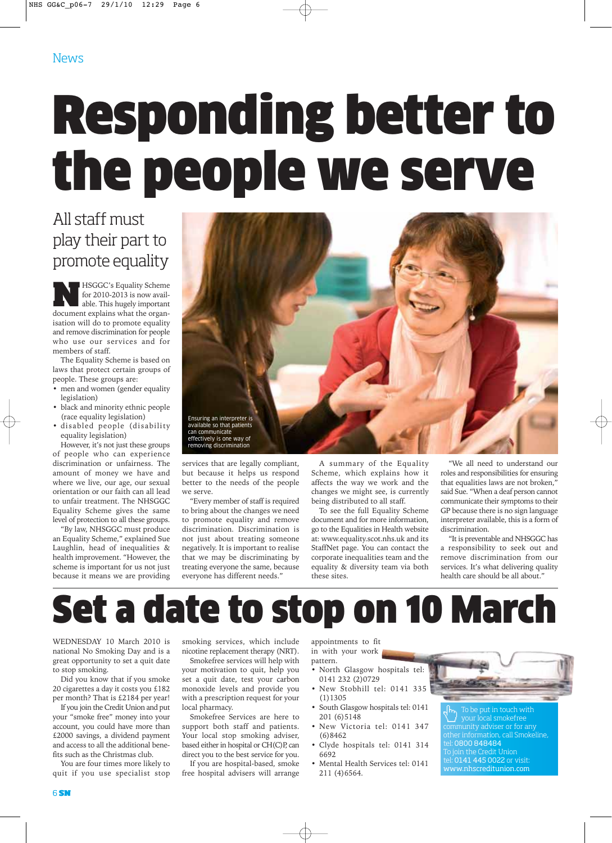## Responding better to the people we serve

### All staff must play their part to promote equality

**NASGGC's Equality Scheme**<br>
for 2010-2013 is now avail-<br>
able. This hugely important<br>
document explains what the organfor 2010-2013 is now availdocument explains what the organisation will do to promote equality and remove discrimination for people who use our services and for members of staff.

The Equality Scheme is based on laws that protect certain groups of people. These groups are:

- men and women (gender equality legislation)
- black and minority ethnic people (race equality legislation)
- disabled people (disability equality legislation)

However, it's not just these groups of people who can experience discrimination or unfairness. The amount of money we have and where we live, our age, our sexual orientation or our faith can all lead to unfair treatment. The NHSGGC Equality Scheme gives the same level of protection to all these groups.

"By law, NHSGGC must produce an Equality Scheme," explained Sue Laughlin, head of inequalities & health improvement. "However, the scheme is important for us not just because it means we are providing



services that are legally compliant, but because it helps us respond better to the needs of the people we serve.

"Every member of staff is required to bring about the changes we need to promote equality and remove discrimination. Discrimination is not just about treating someone negatively. It is important to realise that we may be discriminating by treating everyone the same, because everyone has different needs."

A summary of the Equality Scheme, which explains how it affects the way we work and the changes we might see, is currently being distributed to all staff.

To see the full Equality Scheme document and for more information, go to the Equalities in Health website at: www.equality.scot.nhs.uk and its StaffNet page. You can contact the corporate inequalities team and the equality & diversity team via both these sites.

"We all need to understand our roles and responsibilities for ensuring that equalities laws are not broken," said Sue. "When a deaf person cannot communicate their symptoms to their GP because there is no sign language interpreter available, this is a form of discrimination.

"It is preventable and NHSGGC has a responsibility to seek out and remove discrimination from our services. It's what delivering quality health care should be all about."

## Set a date to stop on 10 March

WEDNESDAY 10 March 2010 is national No Smoking Day and is a great opportunity to set a quit date to stop smoking.

Did you know that if you smoke 20 cigarettes a day it costs you £182 per month? That is £2184 per year!

If you join the Credit Union and put your "smoke free" money into your account, you could have more than £2000 savings, a dividend payment and access to all the additional benefits such as the Christmas club.

You are four times more likely to quit if you use specialist stop

smoking services, which include nicotine replacement therapy (NRT).

Smokefree services will help with your motivation to quit, help you set a quit date, test your carbon monoxide levels and provide you with a prescription request for your local pharmacy.

Smokefree Services are here to support both staff and patients. Your local stop smoking adviser, based either in hospital or CH(C)P, can direct you to the best service for you.

If you are hospital-based, smoke free hospital advisers will arrange

appointments to fit in with your work pattern.

- North Glasgow hospitals tel: 0141 232 (2)0729
- New Stobhill tel: 0141 335 (1)1305
- South Glasgow hospitals tel: 0141 201 (6)5148
- New Victoria tel: 0141 347 (6)8462
- Clyde hospitals tel: 0141 314 6692
- Mental Health Services tel: 0141 211 (4)6564.



To be put in touch with your local smokefree munity adviser or for any er information, call Smokeline، tel: 0800 848484 ioin the Credit Union tel: 0141 445 0022 or visit: www.nhscreditunion.com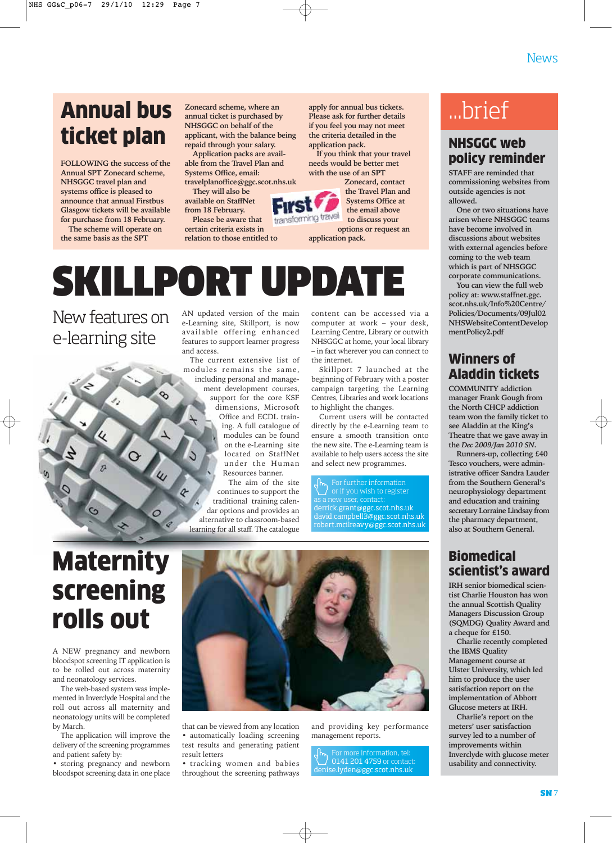## Annual bus ticket plan

**FOLLOWING the success of the Annual SPT Zonecard scheme, NHSGGC travel plan and systems office is pleased to announce that annual Firstbus Glasgow tickets will be available for purchase from 18 February.**

**The scheme will operate on the same basis as the SPT**

**Zonecard scheme, where an annual ticket is purchased by NHSGGC on behalf of the applicant, with the balance being repaid through your salary.**

**Application packs are available from the Travel Plan and Systems Office, email: travelplanoffice@ggc.scot.nhs.uk**

**They will also be available on StaffNet**

**from 18 February. Please be aware that**

**certain criteria exists in relation to those entitled to** **apply for annual bus tickets. Please ask for further details if you feel you may not meet the criteria detailed in the application pack.**

**If you think that your travel needs would be better met with the use of an SPT**



**application pack.**

SKILLPORT UPDATE

New features on e-learning site

℅

 $\iota$ 

 $\Omega$ 

AN updated version of the main e-Learning site, Skillport, is now available offering enhanced features to support learner progress and access.

The current extensive list of modules remains the same, including personal and management development courses, support for the core KSF dimensions, Microsoft Office and ECDL training. A full catalogue of modules can be found on the e-Learning site located on StaffNet under the Human Resources banner.

The aim of the site continues to support the traditional training calendar options and provides an alternative to classroom-based learning for all staff. The catalogue

content can be accessed via a computer at work – your desk, Learning Centre, Library or outwith NHSGGC at home, your local library – in fact wherever you can connect to the internet.

Skillport 7 launched at the beginning of February with a poster campaign targeting the Learning Centres, Libraries and work locations to highlight the changes.

Current users will be contacted directly by the e-Learning team to ensure a smooth transition onto the new site. The e-Learning team is available to help users access the site and select new programmes.

or if you wish to register derrick.grant@ggc.scot.nhs.uk david.campbell3@ggc.scot.nhs.uk robert.mcilreavy@ggc.scot.nhs.uk

## ...brief

### NHSGGC web policy reminder

**STAFF are reminded that commissioning websites from outside agencies is not allowed.**

**One or two situations have arisen where NHSGGC teams have become involved in discussions about websites with external agencies before coming to the web team which is part of NHSGGC corporate communications.**

**You can view the full web policy at: www.staffnet.ggc. scot.nhs.uk/Info%20Centre/ Policies/Documents/09Jul02 NHSWebsiteContentDevelop mentPolicy2.pdf**

### Winners of Aladdin tickets

**COMMUNITY addiction manager Frank Gough from the North CHCP addiction team won the family ticket to see Aladdin at the King's Theatre that we gave away in the** *Dec 2009/Jan 2010 SN***.**

**Runners-up, collecting £40 Tesco vouchers, were administrative officer Sandra Lauder from the Southern General's neurophysiology department and education and training secretary Lorraine Lindsay from the pharmacy department, also at Southern General.** 

### **Biomedical** scientist's award

**IRH senior biomedical scientist Charlie Houston has won the annual Scottish Quality Managers Discussion Group (SQMDG) Quality Award and a cheque for £150.** 

**Charlie recently completed the IBMS Quality Management course at Ulster University, which led him to produce the user satisfaction report on the implementation of Abbott Glucose meters at IRH.**

**Charlie's report on the meters' user satisfaction survey led to a number of improvements within Inverclyde with glucose meter usability and connectivity.**

## **Maternity** screening rolls out

 $\overline{c}$ 

A NEW pregnancy and newborn bloodspot screening IT application is to be rolled out across maternity and neonatology services.

The web-based system was implemented in Inverclyde Hospital and the roll out across all maternity and neonatology units will be completed by March.

The application will improve the delivery of the screening programmes and patient safety by:

• storing pregnancy and newborn bloodspot screening data in one place



that can be viewed from any location • automatically loading screening test results and generating patient result letters

• tracking women and babies throughout the screening pathways

and providing key performance management reports.

0141 201 4759 or contact denise.lyden@ggc.scot.nhs.uk